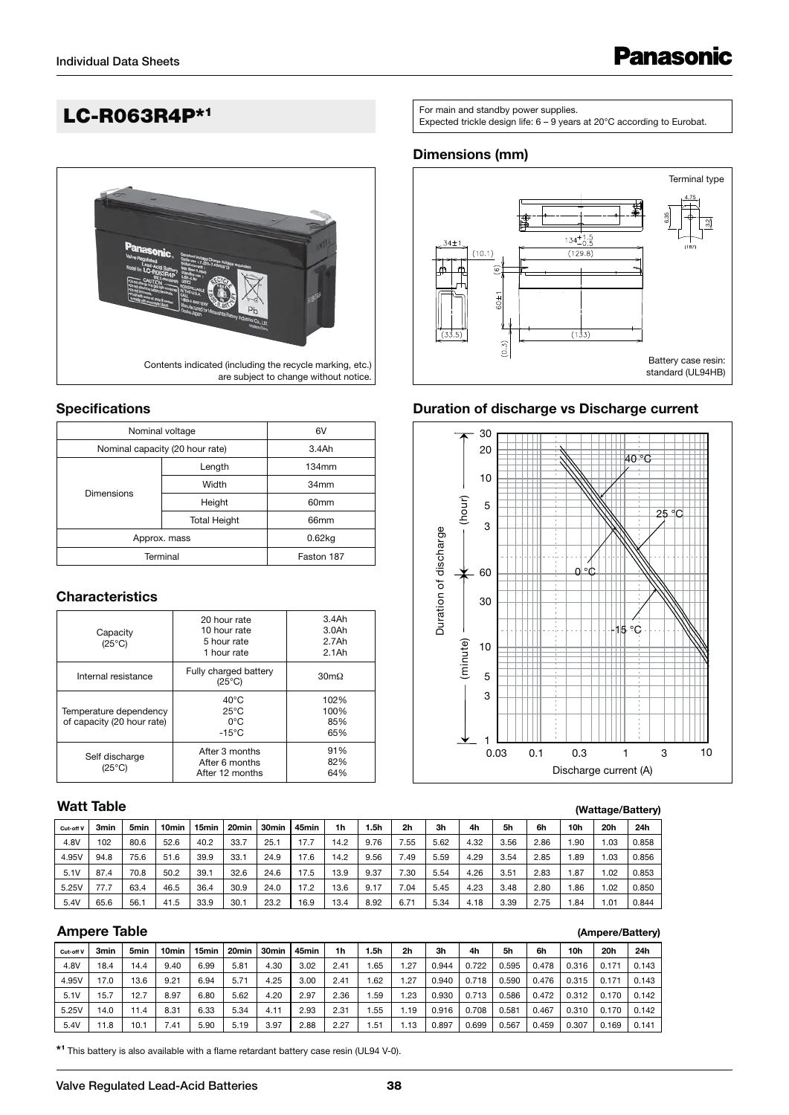# LC-R063R4P\*1



#### **Specifications**

| Nominal voltage                 | 6V                  |                  |  |  |  |  |  |  |  |
|---------------------------------|---------------------|------------------|--|--|--|--|--|--|--|
| Nominal capacity (20 hour rate) | 3.4Ah               |                  |  |  |  |  |  |  |  |
|                                 | Length              | 134mm            |  |  |  |  |  |  |  |
| <b>Dimensions</b>               | Width               | 34mm             |  |  |  |  |  |  |  |
|                                 | Height              | 60 <sub>mm</sub> |  |  |  |  |  |  |  |
|                                 | <b>Total Height</b> | 66mm             |  |  |  |  |  |  |  |
| Approx. mass                    | $0.62$ kg           |                  |  |  |  |  |  |  |  |
| Terminal                        | Faston 187          |                  |  |  |  |  |  |  |  |

#### **Characteristics**

| Capacity<br>$(25^{\circ}C)$                          | 20 hour rate<br>10 hour rate<br>5 hour rate<br>1 hour rate           | 3.4Ah<br>3.0Ah<br>2.7Ah<br>$2.1$ Ah |  |  |
|------------------------------------------------------|----------------------------------------------------------------------|-------------------------------------|--|--|
| Internal resistance                                  | Fully charged battery<br>$(25^{\circ}C)$                             | $30 \text{m}\Omega$                 |  |  |
| Temperature dependency<br>of capacity (20 hour rate) | $40^{\circ}$ C<br>$25^{\circ}$ C<br>$0^{\circ}$ C<br>$-15^{\circ}$ C | 102%<br>100%<br>85%<br>65%          |  |  |
| Self discharge<br>$(25^{\circ}C)$                    | After 3 months<br>After 6 months<br>After 12 months                  | 91%<br>82%<br>64%                   |  |  |

# **Watt Table**

| Cut-off V | 3min | 5 <sub>min</sub> | 10 <sub>min</sub> | 15min | 20 <sub>min</sub> | 30 <sub>min</sub> | 45min | 1h   | .5h  | 2 <sub>h</sub> | 3h   | 4h   | 5h   | 6h   | 10 <sub>h</sub> | 20h   | 24h   |
|-----------|------|------------------|-------------------|-------|-------------------|-------------------|-------|------|------|----------------|------|------|------|------|-----------------|-------|-------|
| 4.8V      | 102  | 80.6             | 52.6              | 40.2  | 33.7              | 25.7              | 17.7  | 14.2 | 9.76 | 7.55           | 5.62 | 4.32 | 3.56 | 2.86 | .90             | 03، ، | 0.858 |
| 4.95V     | 94.8 | 75.6             | 51.6              | 39.9  | 33.1              | 24.9              | 17.6  | 14.2 | 9.56 | 7.49           | 5.59 | 4.29 | 3.54 | 2.85 | .89             | 03، ، | 0.856 |
| 5.1V      | 87.4 | 70.8             | 50.2              | 39.1  | 32.6              | 24.6              | 17.5  | 13.9 | 9.37 | 7.30           | 5.54 | 4.26 | 3.51 | 2.83 | . 87            | .02   | 0.853 |
| 5.25V     | 77.7 | 63.4             | 46.5              | 36.4  | 30.9              | 24.0              | 17.2  | 13.6 | 9.17 | 7.04           | 5.45 | 4.23 | 3.48 | 2.80 | .86             | .02   | 0.850 |
| 5.4V      | 65.6 | 56.1             | 41.5              | 33.9  | 30.1              | 23.2              | 16.9  | 13.4 | 8.92 | 6.71           | 5.34 | 4.18 | 3.39 | 2.75 | .84             | 1.01  | 0.844 |

#### **Ampere Table**

| <b>Ampere Table</b> |                  |                  |                   |                   |                   |       |       |      |       |                |                |       |       |       |       |       | (Ampere/Battery) |
|---------------------|------------------|------------------|-------------------|-------------------|-------------------|-------|-------|------|-------|----------------|----------------|-------|-------|-------|-------|-------|------------------|
| Cut-off V           | 3 <sub>min</sub> | 5 <sub>min</sub> | 10 <sub>min</sub> | 15 <sub>min</sub> | 20 <sub>min</sub> | 30min | 45min | 1h   | .5h   | 2 <sub>h</sub> | 3 <sub>h</sub> | 4h    | 5h    | 6h    | 10h   | 20h   | 24h              |
| 4.8V                | 18.4             | 14.4             | 9.40              | 6.99              | 5.81              | 4.30  | 3.02  | 2.41 | .65   | 1.27           | 0.944          | 0.722 | 0.595 | 0.478 | 0.316 | 0.171 | 0.143            |
| 4.95V               | 17.0             | 13.6             | 9.21              | 6.94              | 5.71              | 4.25  | 3.00  | 2.41 | .62   | 1.27           | 0.940          | 0.718 | 0.590 | 0.476 | 0.315 | 0.171 | 0.143            |
| 5.1V                | 15.7             | 12.7             | 8.97              | 6.80              | 5.62              | 4.20  | 2.97  | 2.36 | .59   | 1.23           | 0.930          | 0.713 | 0.586 | 0.472 | 0.312 | 0.170 | 0.142            |
| 5.25V               | 14.0             | 11.4             | 8.31              | 6.33              | 5.34              | 4.11  | 2.93  | 2.31 | .55   | 1.19           | 0.916          | 0.708 | 0.581 | 0.467 | 0.310 | 0.170 | 0.142            |
| 5.4V                | 11.8             | 10.1             | 7.41              | 5.90              | 5.19              | 3.97  | 2.88  | 2.27 | . .51 | 1.13           | 0.897          | 0.699 | 0.567 | 0.459 | 0.307 | 0.169 | 0.141            |

**\*1** This battery is also available with a flame retardant battery case resin (UL94 V-0).

For main and standby power supplies.<br>Expected trickle design life: 6 – 9 years at 20°C according to Eurobat.

#### **Dimensions (mm)**



#### **Duration of discharge vs Discharge current**



#### **(Wattage/Battery)**